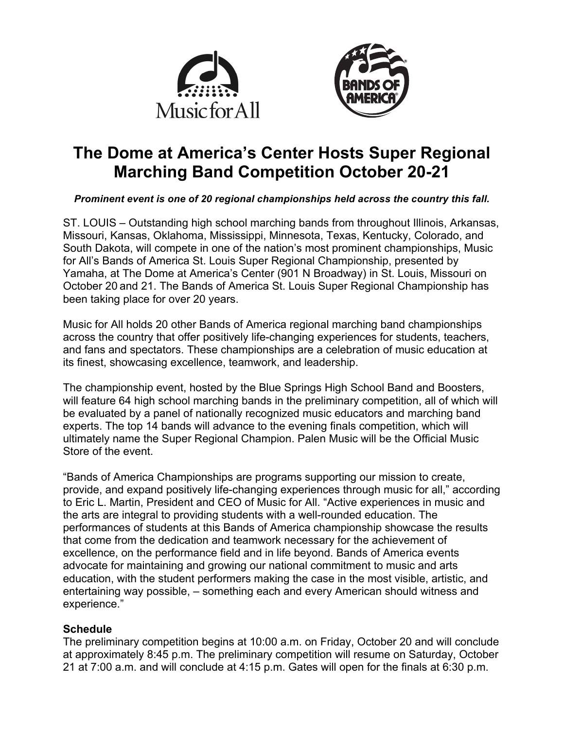



# **The Dome at America's Center Hosts Super Regional Marching Band Competition October 20-21**

### *Prominent event is one of 20 regional championships held across the country this fall.*

ST. LOUIS – Outstanding high school marching bands from throughout Illinois, Arkansas, Missouri, Kansas, Oklahoma, Mississippi, Minnesota, Texas, Kentucky, Colorado, and South Dakota, will compete in one of the nation's most prominent championships, Music for All's Bands of America St. Louis Super Regional Championship, presented by Yamaha, at The Dome at America's Center (901 N Broadway) in St. Louis, Missouri on October 20 and 21. The Bands of America St. Louis Super Regional Championship has been taking place for over 20 years.

Music for All holds 20 other Bands of America regional marching band championships across the country that offer positively life-changing experiences for students, teachers, and fans and spectators. These championships are a celebration of music education at its finest, showcasing excellence, teamwork, and leadership.

The championship event, hosted by the Blue Springs High School Band and Boosters, will feature 64 high school marching bands in the preliminary competition, all of which will be evaluated by a panel of nationally recognized music educators and marching band experts. The top 14 bands will advance to the evening finals competition, which will ultimately name the Super Regional Champion. Palen Music will be the Official Music Store of the event.

"Bands of America Championships are programs supporting our mission to create, provide, and expand positively life-changing experiences through music for all," according to Eric L. Martin, President and CEO of Music for All. "Active experiences in music and the arts are integral to providing students with a well-rounded education. The performances of students at this Bands of America championship showcase the results that come from the dedication and teamwork necessary for the achievement of excellence, on the performance field and in life beyond. Bands of America events advocate for maintaining and growing our national commitment to music and arts education, with the student performers making the case in the most visible, artistic, and entertaining way possible, – something each and every American should witness and experience."

## **Schedule**

The preliminary competition begins at 10:00 a.m. on Friday, October 20 and will conclude at approximately 8:45 p.m. The preliminary competition will resume on Saturday, October 21 at 7:00 a.m. and will conclude at 4:15 p.m. Gates will open for the finals at 6:30 p.m.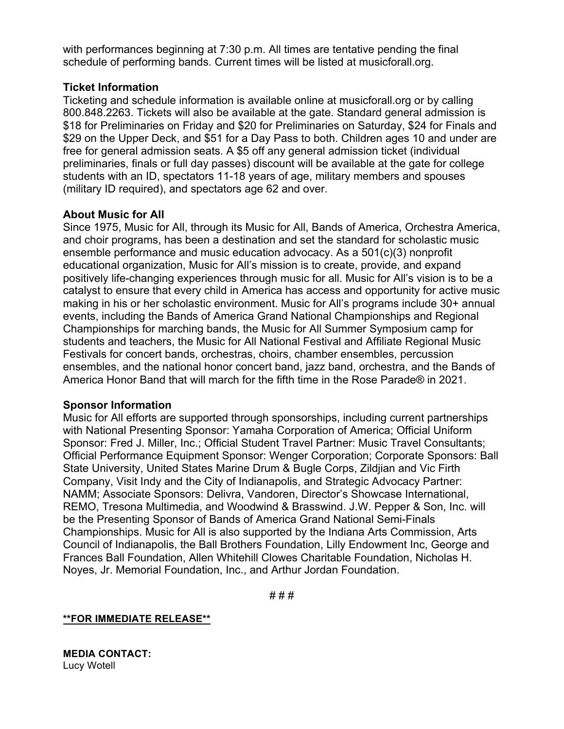with performances beginning at 7:30 p.m. All times are tentative pending the final schedule of performing bands. Current times will be listed at musicforall.org.

### **Ticket Information**

Ticketing and schedule information is available online at musicforall.org or by calling 800.848.2263. Tickets will also be available at the gate. Standard general admission is \$18 for Preliminaries on Friday and \$20 for Preliminaries on Saturday, \$24 for Finals and \$29 on the Upper Deck, and \$51 for a Day Pass to both. Children ages 10 and under are free for general admission seats. A \$5 off any general admission ticket (individual preliminaries, finals or full day passes) discount will be available at the gate for college students with an ID, spectators 11-18 years of age, military members and spouses (military ID required), and spectators age 62 and over.

### **About Music for All**

Since 1975, Music for All, through its Music for All, Bands of America, Orchestra America, and choir programs, has been a destination and set the standard for scholastic music ensemble performance and music education advocacy. As a 501(c)(3) nonprofit educational organization, Music for All's mission is to create, provide, and expand positively life-changing experiences through music for all. Music for All's vision is to be a catalyst to ensure that every child in America has access and opportunity for active music making in his or her scholastic environment. Music for All's programs include 30+ annual events, including the Bands of America Grand National Championships and Regional Championships for marching bands, the Music for All Summer Symposium camp for students and teachers, the Music for All National Festival and Affiliate Regional Music Festivals for concert bands, orchestras, choirs, chamber ensembles, percussion ensembles, and the national honor concert band, jazz band, orchestra, and the Bands of America Honor Band that will march for the fifth time in the Rose Parade® in 2021.

#### **Sponsor Information**

Music for All efforts are supported through sponsorships, including current partnerships with National Presenting Sponsor: Yamaha Corporation of America; Official Uniform Sponsor: Fred J. Miller, Inc.; Official Student Travel Partner: Music Travel Consultants; Official Performance Equipment Sponsor: Wenger Corporation; Corporate Sponsors: Ball State University, United States Marine Drum & Bugle Corps, Zildjian and Vic Firth Company, Visit Indy and the City of Indianapolis, and Strategic Advocacy Partner: NAMM; Associate Sponsors: Delivra, Vandoren, Director's Showcase International, REMO, Tresona Multimedia, and Woodwind & Brasswind. J.W. Pepper & Son, Inc. will be the Presenting Sponsor of Bands of America Grand National Semi-Finals Championships. Music for All is also supported by the Indiana Arts Commission, Arts Council of Indianapolis, the Ball Brothers Foundation, Lilly Endowment Inc, George and Frances Ball Foundation, Allen Whitehill Clowes Charitable Foundation, Nicholas H. Noyes, Jr. Memorial Foundation, Inc., and Arthur Jordan Foundation.

# # #

**\*\*FOR IMMEDIATE RELEASE\*\***

**MEDIA CONTACT:** Lucy Wotell